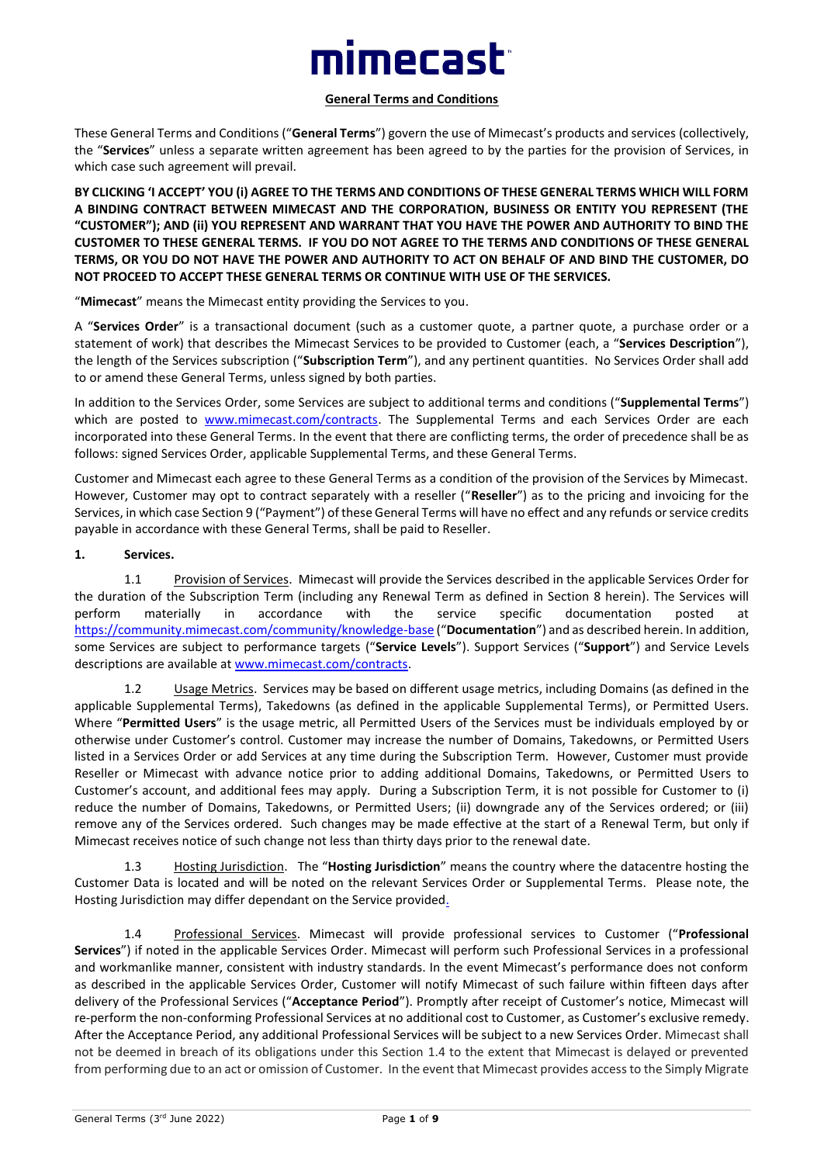# **imecast**

#### **General Terms and Conditions**

These General Terms and Conditions ("**General Terms**") govern the use of Mimecast's products and services (collectively, the "**Services**" unless a separate written agreement has been agreed to by the parties for the provision of Services, in which case such agreement will prevail.

**BY CLICKING 'I ACCEPT' YOU (i) AGREE TO THE TERMS AND CONDITIONS OF THESE GENERAL TERMS WHICH WILL FORM A BINDING CONTRACT BETWEEN MIMECAST AND THE CORPORATION, BUSINESS OR ENTITY YOU REPRESENT (THE "CUSTOMER"); AND (ii) YOU REPRESENT AND WARRANT THAT YOU HAVE THE POWER AND AUTHORITY TO BIND THE CUSTOMER TO THESE GENERAL TERMS. IF YOU DO NOT AGREE TO THE TERMS AND CONDITIONS OF THESE GENERAL TERMS, OR YOU DO NOT HAVE THE POWER AND AUTHORITY TO ACT ON BEHALF OF AND BIND THE CUSTOMER, DO NOT PROCEED TO ACCEPT THESE GENERAL TERMS OR CONTINUE WITH USE OF THE SERVICES.**

"**Mimecast**" means the Mimecast entity providing the Services to you.

A "**Services Order**" is a transactional document (such as a customer quote, a partner quote, a purchase order or a statement of work) that describes the Mimecast Services to be provided to Customer (each, a "**Services Description**"), the length of the Services subscription ("**Subscription Term**"), and any pertinent quantities. No Services Order shall add to or amend these General Terms, unless signed by both parties.

In addition to the Services Order, some Services are subject to additional terms and conditions ("**Supplemental Terms**") which are posted to [www.mimecast.com/contracts.](http://www.mimecast.com/contracts) The Supplemental Terms and each Services Order are each incorporated into these General Terms. In the event that there are conflicting terms, the order of precedence shall be as follows: signed Services Order, applicable Supplemental Terms, and these General Terms.

Customer and Mimecast each agree to these General Terms as a condition of the provision of the Services by Mimecast. However, Customer may opt to contract separately with a reseller ("**Reseller**") as to the pricing and invoicing for the Services, in which case Section 9 ("Payment") of these General Terms will have no effect and any refunds or service credits payable in accordance with these General Terms, shall be paid to Reseller.

#### **1. Services.**

1.1 Provision of Services. Mimecast will provide the Services described in the applicable Services Order for the duration of the Subscription Term (including any Renewal Term as defined in Section 8 herein). The Services will perform materially in accordance with the service specific documentation posted at <https://community.mimecast.com/community/knowledge-base> ("**Documentation**") and as described herein. In addition, some Services are subject to performance targets ("**Service Levels**"). Support Services ("**Support**") and Service Levels descriptions are available at [www.mimecast.com/contracts.](http://www.mimecast.com/contracts)

1.2 Usage Metrics. Services may be based on different usage metrics, including Domains (as defined in the applicable Supplemental Terms), Takedowns (as defined in the applicable Supplemental Terms), or Permitted Users. Where "**Permitted Users**" is the usage metric, all Permitted Users of the Services must be individuals employed by or otherwise under Customer's control. Customer may increase the number of Domains, Takedowns, or Permitted Users listed in a Services Order or add Services at any time during the Subscription Term. However, Customer must provide Reseller or Mimecast with advance notice prior to adding additional Domains, Takedowns, or Permitted Users to Customer's account, and additional fees may apply. During a Subscription Term, it is not possible for Customer to (i) reduce the number of Domains, Takedowns, or Permitted Users; (ii) downgrade any of the Services ordered; or (iii) remove any of the Services ordered. Such changes may be made effective at the start of a Renewal Term, but only if Mimecast receives notice of such change not less than thirty days prior to the renewal date.

1.3 Hosting Jurisdiction. The "**Hosting Jurisdiction**" means the country where the datacentre hosting the Customer Data is located and will be noted on the relevant Services Order or Supplemental Terms. Please note, the Hosting Jurisdiction may differ dependant on the Service provided.

1.4 Professional Services. Mimecast will provide professional services to Customer ("**Professional Services**") if noted in the applicable Services Order. Mimecast will perform such Professional Services in a professional and workmanlike manner, consistent with industry standards. In the event Mimecast's performance does not conform as described in the applicable Services Order, Customer will notify Mimecast of such failure within fifteen days after delivery of the Professional Services ("**Acceptance Period**"). Promptly after receipt of Customer's notice, Mimecast will re-perform the non-conforming Professional Services at no additional cost to Customer, as Customer's exclusive remedy. After the Acceptance Period, any additional Professional Services will be subject to a new Services Order. Mimecast shall not be deemed in breach of its obligations under this Section 1.4 to the extent that Mimecast is delayed or prevented from performing due to an act or omission of Customer. In the event that Mimecast provides access to the Simply Migrate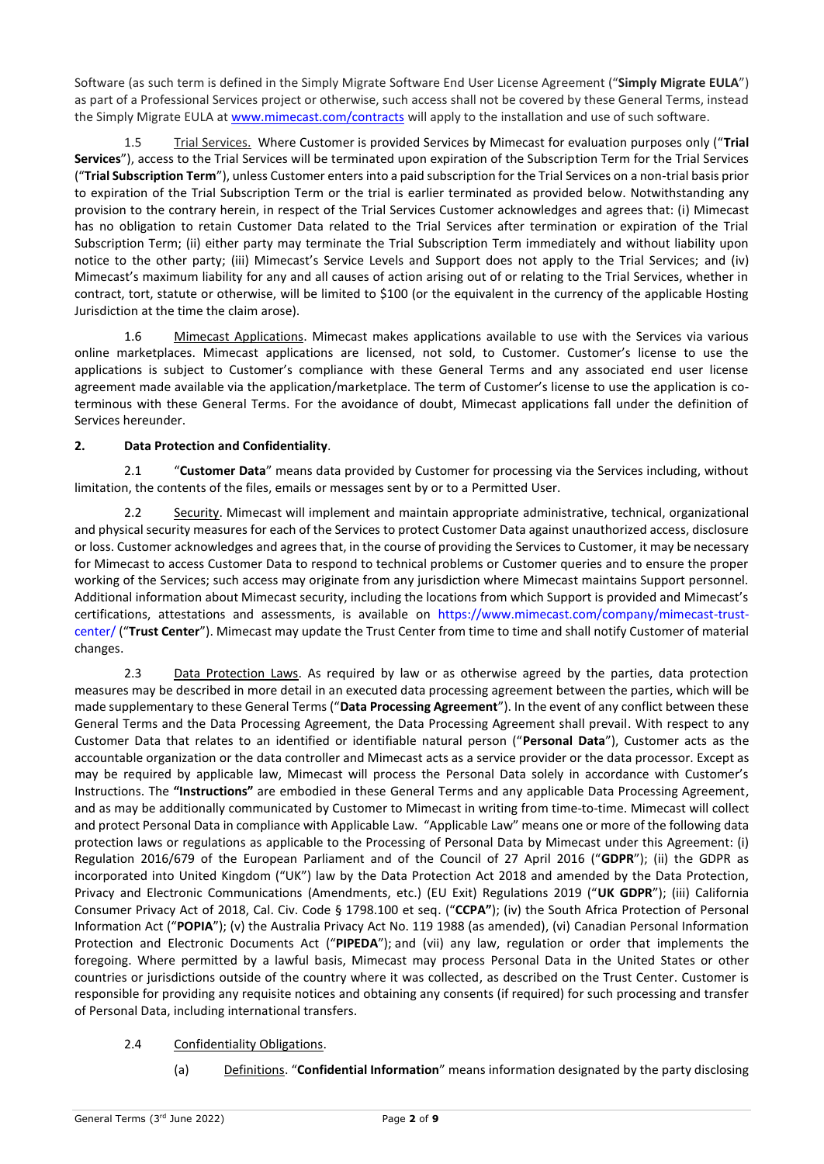Software (as such term is defined in the Simply Migrate Software End User License Agreement ("**Simply Migrate EULA**") as part of a Professional Services project or otherwise, such access shall not be covered by these General Terms, instead the Simply Migrate EULA at [www.mimecast.com/contracts](http://www.mimecast.com/contracts) will apply to the installation and use of such software.

1.5 Trial Services. Where Customer is provided Services by Mimecast for evaluation purposes only ("**Trial Services**"), access to the Trial Services will be terminated upon expiration of the Subscription Term for the Trial Services ("**Trial Subscription Term**"), unless Customer enters into a paid subscription for the Trial Services on a non-trial basis prior to expiration of the Trial Subscription Term or the trial is earlier terminated as provided below. Notwithstanding any provision to the contrary herein, in respect of the Trial Services Customer acknowledges and agrees that: (i) Mimecast has no obligation to retain Customer Data related to the Trial Services after termination or expiration of the Trial Subscription Term; (ii) either party may terminate the Trial Subscription Term immediately and without liability upon notice to the other party; (iii) Mimecast's Service Levels and Support does not apply to the Trial Services; and (iv) Mimecast's maximum liability for any and all causes of action arising out of or relating to the Trial Services, whether in contract, tort, statute or otherwise, will be limited to \$100 (or the equivalent in the currency of the applicable Hosting Jurisdiction at the time the claim arose).

1.6 Mimecast Applications. Mimecast makes applications available to use with the Services via various online marketplaces. Mimecast applications are licensed, not sold, to Customer. Customer's license to use the applications is subject to Customer's compliance with these General Terms and any associated end user license agreement made available via the application/marketplace. The term of Customer's license to use the application is coterminous with these General Terms. For the avoidance of doubt, Mimecast applications fall under the definition of Services hereunder.

## **2. Data Protection and Confidentiality**.

2.1 "**Customer Data**" means data provided by Customer for processing via the Services including, without limitation, the contents of the files, emails or messages sent by or to a Permitted User.

2.2 Security. Mimecast will implement and maintain appropriate administrative, technical, organizational and physical security measures for each of the Services to protect Customer Data against unauthorized access, disclosure or loss. Customer acknowledges and agrees that, in the course of providing the Services to Customer, it may be necessary for Mimecast to access Customer Data to respond to technical problems or Customer queries and to ensure the proper working of the Services; such access may originate from any jurisdiction where Mimecast maintains Support personnel. Additional information about Mimecast security, including the locations from which Support is provided and Mimecast's certifications, attestations and assessments, is available on [https://www.mimecast.com/company/mimecast-trust](https://www.mimecast.com/company/mimecast-trust-center/)[center/](https://www.mimecast.com/company/mimecast-trust-center/) ("**Trust Center**"). Mimecast may update the Trust Center from time to time and shall notify Customer of material changes.

2.3 Data Protection Laws. As required by law or as otherwise agreed by the parties, data protection measures may be described in more detail in an executed data processing agreement between the parties, which will be made supplementary to these General Terms ("**Data Processing Agreement**"). In the event of any conflict between these General Terms and the Data Processing Agreement, the Data Processing Agreement shall prevail. With respect to any Customer Data that relates to an identified or identifiable natural person ("**Personal Data**"), Customer acts as the accountable organization or the data controller and Mimecast acts as a service provider or the data processor. Except as may be required by applicable law, Mimecast will process the Personal Data solely in accordance with Customer's Instructions. The **"Instructions"** are embodied in these General Terms and any applicable Data Processing Agreement, and as may be additionally communicated by Customer to Mimecast in writing from time-to-time. Mimecast will collect and protect Personal Data in compliance with Applicable Law. "Applicable Law" means one or more of the following data protection laws or regulations as applicable to the Processing of Personal Data by Mimecast under this Agreement: (i) Regulation 2016/679 of the European Parliament and of the Council of 27 April 2016 ("**GDPR**"); (ii) the GDPR as incorporated into United Kingdom ("UK") law by the Data Protection Act 2018 and amended by the Data Protection, Privacy and Electronic Communications (Amendments, etc.) (EU Exit) Regulations 2019 ("**UK GDPR**"); (iii) California Consumer Privacy Act of 2018, Cal. Civ. Code § 1798.100 et seq. ("**CCPA"**); (iv) the South Africa Protection of Personal Information Act ("**POPIA**"); (v) the Australia Privacy Act No. 119 1988 (as amended), (vi) Canadian Personal Information Protection and Electronic Documents Act ("**PIPEDA**"); and (vii) any law, regulation or order that implements the foregoing. Where permitted by a lawful basis, Mimecast may process Personal Data in the United States or other countries or jurisdictions outside of the country where it was collected, as described on the Trust Center. Customer is responsible for providing any requisite notices and obtaining any consents (if required) for such processing and transfer of Personal Data, including international transfers.

## 2.4 Confidentiality Obligations.

(a) Definitions. "**Confidential Information**" means information designated by the party disclosing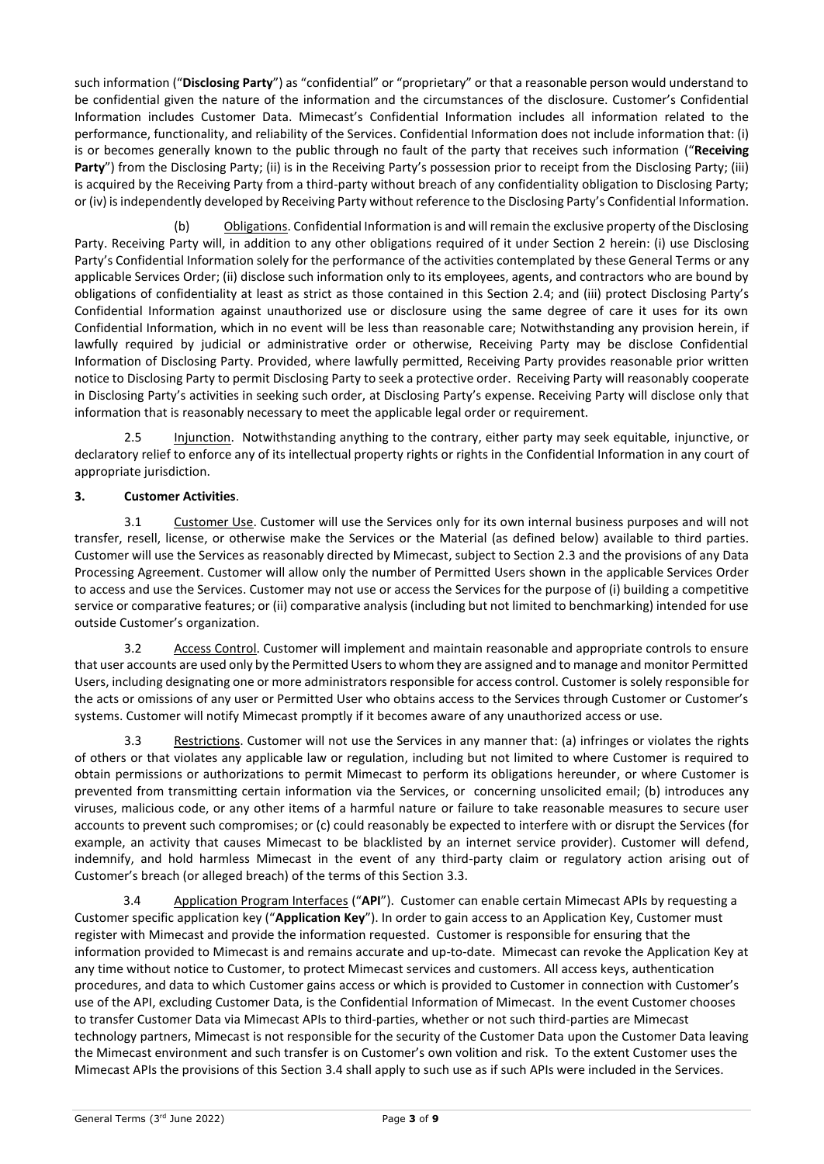such information ("**Disclosing Party**") as "confidential" or "proprietary" or that a reasonable person would understand to be confidential given the nature of the information and the circumstances of the disclosure. Customer's Confidential Information includes Customer Data. Mimecast's Confidential Information includes all information related to the performance, functionality, and reliability of the Services. Confidential Information does not include information that: (i) is or becomes generally known to the public through no fault of the party that receives such information ("**Receiving**  Party") from the Disclosing Party; (ii) is in the Receiving Party's possession prior to receipt from the Disclosing Party; (iii) is acquired by the Receiving Party from a third-party without breach of any confidentiality obligation to Disclosing Party; or (iv) is independently developed by Receiving Party without reference to the Disclosing Party's Confidential Information.

(b) Obligations. Confidential Information is and will remain the exclusive property of the Disclosing Party. Receiving Party will, in addition to any other obligations required of it under Section 2 herein: (i) use Disclosing Party's Confidential Information solely for the performance of the activities contemplated by these General Terms or any applicable Services Order; (ii) disclose such information only to its employees, agents, and contractors who are bound by obligations of confidentiality at least as strict as those contained in this Section 2.4; and (iii) protect Disclosing Party's Confidential Information against unauthorized use or disclosure using the same degree of care it uses for its own Confidential Information, which in no event will be less than reasonable care; Notwithstanding any provision herein, if lawfully required by judicial or administrative order or otherwise, Receiving Party may be disclose Confidential Information of Disclosing Party. Provided, where lawfully permitted, Receiving Party provides reasonable prior written notice to Disclosing Party to permit Disclosing Party to seek a protective order. Receiving Party will reasonably cooperate in Disclosing Party's activities in seeking such order, at Disclosing Party's expense. Receiving Party will disclose only that information that is reasonably necessary to meet the applicable legal order or requirement.

2.5 Injunction. Notwithstanding anything to the contrary, either party may seek equitable, injunctive, or declaratory relief to enforce any of its intellectual property rights or rights in the Confidential Information in any court of appropriate jurisdiction.

# **3. Customer Activities**.

3.1 Customer Use. Customer will use the Services only for its own internal business purposes and will not transfer, resell, license, or otherwise make the Services or the Material (as defined below) available to third parties. Customer will use the Services as reasonably directed by Mimecast, subject to Section 2.3 and the provisions of any Data Processing Agreement. Customer will allow only the number of Permitted Users shown in the applicable Services Order to access and use the Services. Customer may not use or access the Services for the purpose of (i) building a competitive service or comparative features; or (ii) comparative analysis (including but not limited to benchmarking) intended for use outside Customer's organization.

3.2 Access Control. Customer will implement and maintain reasonable and appropriate controls to ensure that user accounts are used only by the Permitted Users to whom they are assigned and to manage and monitor Permitted Users, including designating one or more administrators responsible for access control. Customer is solely responsible for the acts or omissions of any user or Permitted User who obtains access to the Services through Customer or Customer's systems. Customer will notify Mimecast promptly if it becomes aware of any unauthorized access or use.

3.3 Restrictions. Customer will not use the Services in any manner that: (a) infringes or violates the rights of others or that violates any applicable law or regulation, including but not limited to where Customer is required to obtain permissions or authorizations to permit Mimecast to perform its obligations hereunder, or where Customer is prevented from transmitting certain information via the Services, or concerning unsolicited email; (b) introduces any viruses, malicious code, or any other items of a harmful nature or failure to take reasonable measures to secure user accounts to prevent such compromises; or (c) could reasonably be expected to interfere with or disrupt the Services (for example, an activity that causes Mimecast to be blacklisted by an internet service provider). Customer will defend, indemnify, and hold harmless Mimecast in the event of any third-party claim or regulatory action arising out of Customer's breach (or alleged breach) of the terms of this Section 3.3.

3.4 Application Program Interfaces ("**API**"). Customer can enable certain Mimecast APIs by requesting a Customer specific application key ("**Application Key**"). In order to gain access to an Application Key, Customer must register with Mimecast and provide the information requested. Customer is responsible for ensuring that the information provided to Mimecast is and remains accurate and up-to-date. Mimecast can revoke the Application Key at any time without notice to Customer, to protect Mimecast services and customers. All access keys, authentication procedures, and data to which Customer gains access or which is provided to Customer in connection with Customer's use of the API, excluding Customer Data, is the Confidential Information of Mimecast. In the event Customer chooses to transfer Customer Data via Mimecast APIs to third-parties, whether or not such third-parties are Mimecast technology partners, Mimecast is not responsible for the security of the Customer Data upon the Customer Data leaving the Mimecast environment and such transfer is on Customer's own volition and risk. To the extent Customer uses the Mimecast APIs the provisions of this Section 3.4 shall apply to such use as if such APIs were included in the Services.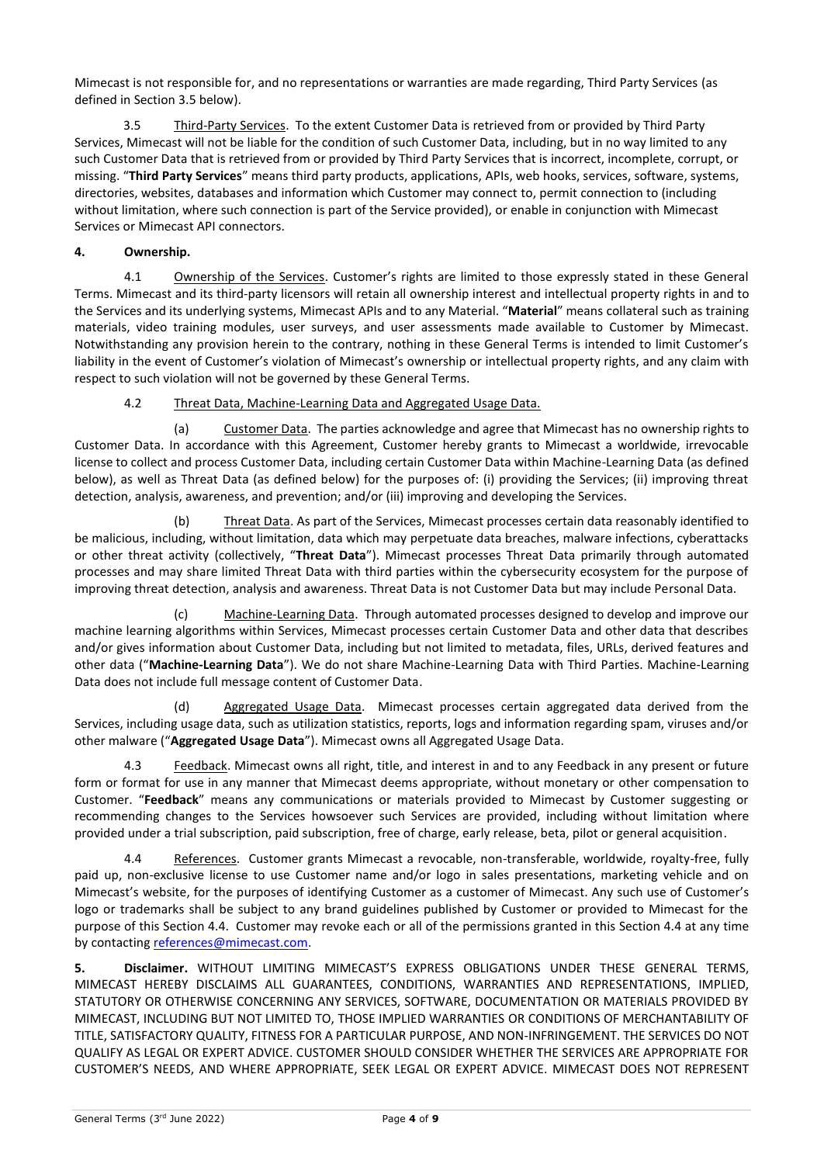Mimecast is not responsible for, and no representations or warranties are made regarding, Third Party Services (as defined in Section 3.5 below).

3.5 Third-Party Services. To the extent Customer Data is retrieved from or provided by Third Party Services, Mimecast will not be liable for the condition of such Customer Data, including, but in no way limited to any such Customer Data that is retrieved from or provided by Third Party Services that is incorrect, incomplete, corrupt, or missing. "**Third Party Services**" means third party products, applications, APIs, web hooks, services, software, systems, directories, websites, databases and information which Customer may connect to, permit connection to (including without limitation, where such connection is part of the Service provided), or enable in conjunction with Mimecast Services or Mimecast API connectors.

## **4. Ownership.**

4.1 Ownership of the Services. Customer's rights are limited to those expressly stated in these General Terms. Mimecast and its third-party licensors will retain all ownership interest and intellectual property rights in and to the Services and its underlying systems, Mimecast APIs and to any Material. "**Material**" means collateral such as training materials, video training modules, user surveys, and user assessments made available to Customer by Mimecast. Notwithstanding any provision herein to the contrary, nothing in these General Terms is intended to limit Customer's liability in the event of Customer's violation of Mimecast's ownership or intellectual property rights, and any claim with respect to such violation will not be governed by these General Terms.

4.2 Threat Data, Machine-Learning Data and Aggregated Usage Data.

(a) Customer Data. The parties acknowledge and agree that Mimecast has no ownership rights to Customer Data. In accordance with this Agreement, Customer hereby grants to Mimecast a worldwide, irrevocable license to collect and process Customer Data, including certain Customer Data within Machine-Learning Data (as defined below), as well as Threat Data (as defined below) for the purposes of: (i) providing the Services; (ii) improving threat detection, analysis, awareness, and prevention; and/or (iii) improving and developing the Services.

(b) Threat Data. As part of the Services, Mimecast processes certain data reasonably identified to be malicious, including, without limitation, data which may perpetuate data breaches, malware infections, cyberattacks or other threat activity (collectively, "**Threat Data**"). Mimecast processes Threat Data primarily through automated processes and may share limited Threat Data with third parties within the cybersecurity ecosystem for the purpose of improving threat detection, analysis and awareness. Threat Data is not Customer Data but may include Personal Data.

(c) Machine-Learning Data. Through automated processes designed to develop and improve our machine learning algorithms within Services, Mimecast processes certain Customer Data and other data that describes and/or gives information about Customer Data, including but not limited to metadata, files, URLs, derived features and other data ("**Machine-Learning Data**"). We do not share Machine-Learning Data with Third Parties. Machine-Learning Data does not include full message content of Customer Data.

(d) Aggregated Usage Data. Mimecast processes certain aggregated data derived from the Services, including usage data, such as utilization statistics, reports, logs and information regarding spam, viruses and/or other malware ("**Aggregated Usage Data**"). Mimecast owns all Aggregated Usage Data.

4.3 Feedback. Mimecast owns all right, title, and interest in and to any Feedback in any present or future form or format for use in any manner that Mimecast deems appropriate, without monetary or other compensation to Customer. "**Feedback**" means any communications or materials provided to Mimecast by Customer suggesting or recommending changes to the Services howsoever such Services are provided, including without limitation where provided under a trial subscription, paid subscription, free of charge, early release, beta, pilot or general acquisition.

4.4 References. Customer grants Mimecast a revocable, non-transferable, worldwide, royalty-free, fully paid up, non-exclusive license to use Customer name and/or logo in sales presentations, marketing vehicle and on Mimecast's website, for the purposes of identifying Customer as a customer of Mimecast. Any such use of Customer's logo or trademarks shall be subject to any brand guidelines published by Customer or provided to Mimecast for the purpose of this Section 4.4. Customer may revoke each or all of the permissions granted in this Section 4.4 at any time by contacting [references@mimecast.com.](mailto:references@mimecast.com)

**5. Disclaimer.** WITHOUT LIMITING MIMECAST'S EXPRESS OBLIGATIONS UNDER THESE GENERAL TERMS, MIMECAST HEREBY DISCLAIMS ALL GUARANTEES, CONDITIONS, WARRANTIES AND REPRESENTATIONS, IMPLIED, STATUTORY OR OTHERWISE CONCERNING ANY SERVICES, SOFTWARE, DOCUMENTATION OR MATERIALS PROVIDED BY MIMECAST, INCLUDING BUT NOT LIMITED TO, THOSE IMPLIED WARRANTIES OR CONDITIONS OF MERCHANTABILITY OF TITLE, SATISFACTORY QUALITY, FITNESS FOR A PARTICULAR PURPOSE, AND NON-INFRINGEMENT. THE SERVICES DO NOT QUALIFY AS LEGAL OR EXPERT ADVICE. CUSTOMER SHOULD CONSIDER WHETHER THE SERVICES ARE APPROPRIATE FOR CUSTOMER'S NEEDS, AND WHERE APPROPRIATE, SEEK LEGAL OR EXPERT ADVICE. MIMECAST DOES NOT REPRESENT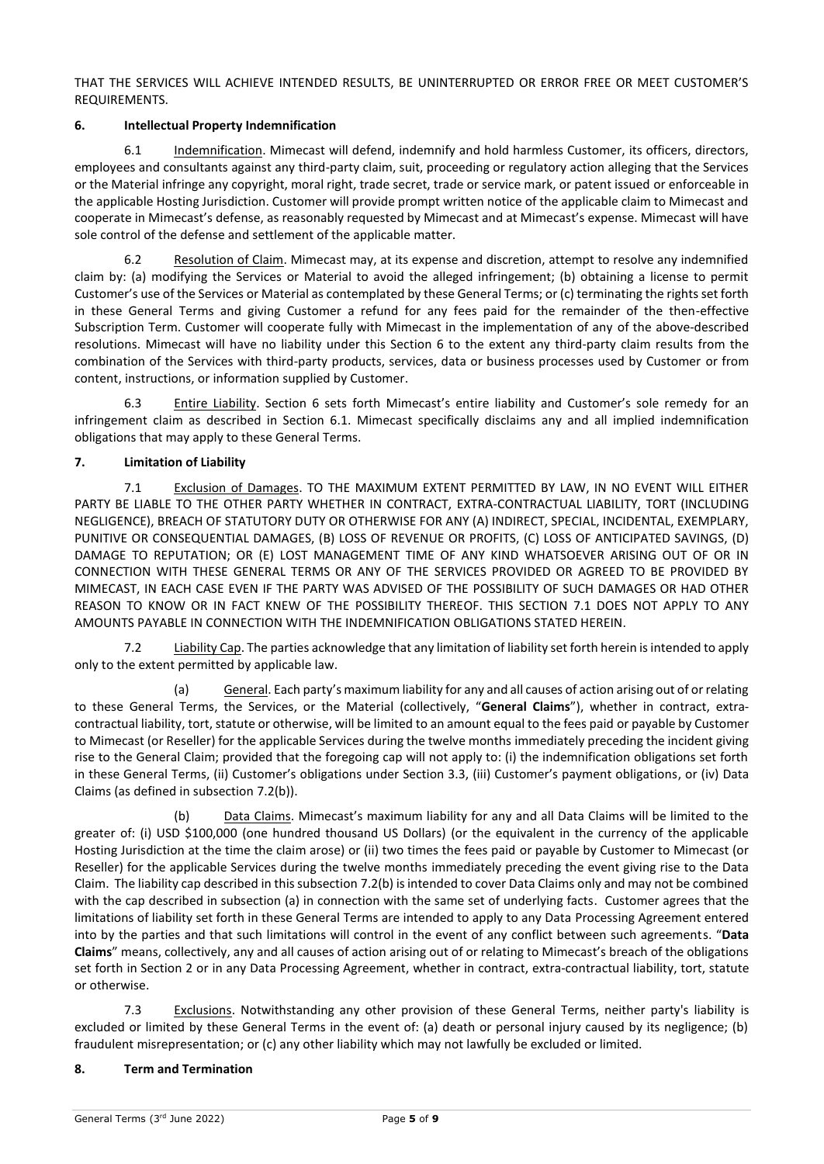THAT THE SERVICES WILL ACHIEVE INTENDED RESULTS, BE UNINTERRUPTED OR ERROR FREE OR MEET CUSTOMER'S REQUIREMENTS.

## **6. Intellectual Property Indemnification**

6.1 Indemnification. Mimecast will defend, indemnify and hold harmless Customer, its officers, directors, employees and consultants against any third-party claim, suit, proceeding or regulatory action alleging that the Services or the Material infringe any copyright, moral right, trade secret, trade or service mark, or patent issued or enforceable in the applicable Hosting Jurisdiction. Customer will provide prompt written notice of the applicable claim to Mimecast and cooperate in Mimecast's defense, as reasonably requested by Mimecast and at Mimecast's expense. Mimecast will have sole control of the defense and settlement of the applicable matter.

6.2 Resolution of Claim. Mimecast may, at its expense and discretion, attempt to resolve any indemnified claim by: (a) modifying the Services or Material to avoid the alleged infringement; (b) obtaining a license to permit Customer's use of the Services or Material as contemplated by these General Terms; or (c) terminating the rights set forth in these General Terms and giving Customer a refund for any fees paid for the remainder of the then-effective Subscription Term. Customer will cooperate fully with Mimecast in the implementation of any of the above-described resolutions. Mimecast will have no liability under this Section 6 to the extent any third-party claim results from the combination of the Services with third-party products, services, data or business processes used by Customer or from content, instructions, or information supplied by Customer.

6.3 Entire Liability. Section 6 sets forth Mimecast's entire liability and Customer's sole remedy for an infringement claim as described in Section 6.1. Mimecast specifically disclaims any and all implied indemnification obligations that may apply to these General Terms.

## **7. Limitation of Liability**

7.1 Exclusion of Damages. TO THE MAXIMUM EXTENT PERMITTED BY LAW, IN NO EVENT WILL EITHER PARTY BE LIABLE TO THE OTHER PARTY WHETHER IN CONTRACT, EXTRA-CONTRACTUAL LIABILITY, TORT (INCLUDING NEGLIGENCE), BREACH OF STATUTORY DUTY OR OTHERWISE FOR ANY (A) INDIRECT, SPECIAL, INCIDENTAL, EXEMPLARY, PUNITIVE OR CONSEQUENTIAL DAMAGES, (B) LOSS OF REVENUE OR PROFITS, (C) LOSS OF ANTICIPATED SAVINGS, (D) DAMAGE TO REPUTATION; OR (E) LOST MANAGEMENT TIME OF ANY KIND WHATSOEVER ARISING OUT OF OR IN CONNECTION WITH THESE GENERAL TERMS OR ANY OF THE SERVICES PROVIDED OR AGREED TO BE PROVIDED BY MIMECAST, IN EACH CASE EVEN IF THE PARTY WAS ADVISED OF THE POSSIBILITY OF SUCH DAMAGES OR HAD OTHER REASON TO KNOW OR IN FACT KNEW OF THE POSSIBILITY THEREOF. THIS SECTION 7.1 DOES NOT APPLY TO ANY AMOUNTS PAYABLE IN CONNECTION WITH THE INDEMNIFICATION OBLIGATIONS STATED HEREIN.

7.2 Liability Cap. The parties acknowledge that any limitation of liability set forth herein is intended to apply only to the extent permitted by applicable law.

(a) General. Each party's maximum liability for any and all causes of action arising out of or relating to these General Terms, the Services, or the Material (collectively, "**General Claims**"), whether in contract, extracontractual liability, tort, statute or otherwise, will be limited to an amount equal to the fees paid or payable by Customer to Mimecast (or Reseller) for the applicable Services during the twelve months immediately preceding the incident giving rise to the General Claim; provided that the foregoing cap will not apply to: (i) the indemnification obligations set forth in these General Terms, (ii) Customer's obligations under Section 3.3, (iii) Customer's payment obligations, or (iv) Data Claims (as defined in subsection 7.2(b)).

(b) Data Claims. Mimecast's maximum liability for any and all Data Claims will be limited to the greater of: (i) USD \$100,000 (one hundred thousand US Dollars) (or the equivalent in the currency of the applicable Hosting Jurisdiction at the time the claim arose) or (ii) two times the fees paid or payable by Customer to Mimecast (or Reseller) for the applicable Services during the twelve months immediately preceding the event giving rise to the Data Claim. The liability cap described in this subsection 7.2(b) is intended to cover Data Claims only and may not be combined with the cap described in subsection (a) in connection with the same set of underlying facts. Customer agrees that the limitations of liability set forth in these General Terms are intended to apply to any Data Processing Agreement entered into by the parties and that such limitations will control in the event of any conflict between such agreements. "**Data Claims**" means, collectively, any and all causes of action arising out of or relating to Mimecast's breach of the obligations set forth in Section 2 or in any Data Processing Agreement, whether in contract, extra-contractual liability, tort, statute or otherwise.

7.3 Exclusions. Notwithstanding any other provision of these General Terms, neither party's liability is excluded or limited by these General Terms in the event of: (a) death or personal injury caused by its negligence; (b) fraudulent misrepresentation; or (c) any other liability which may not lawfully be excluded or limited.

## **8. Term and Termination**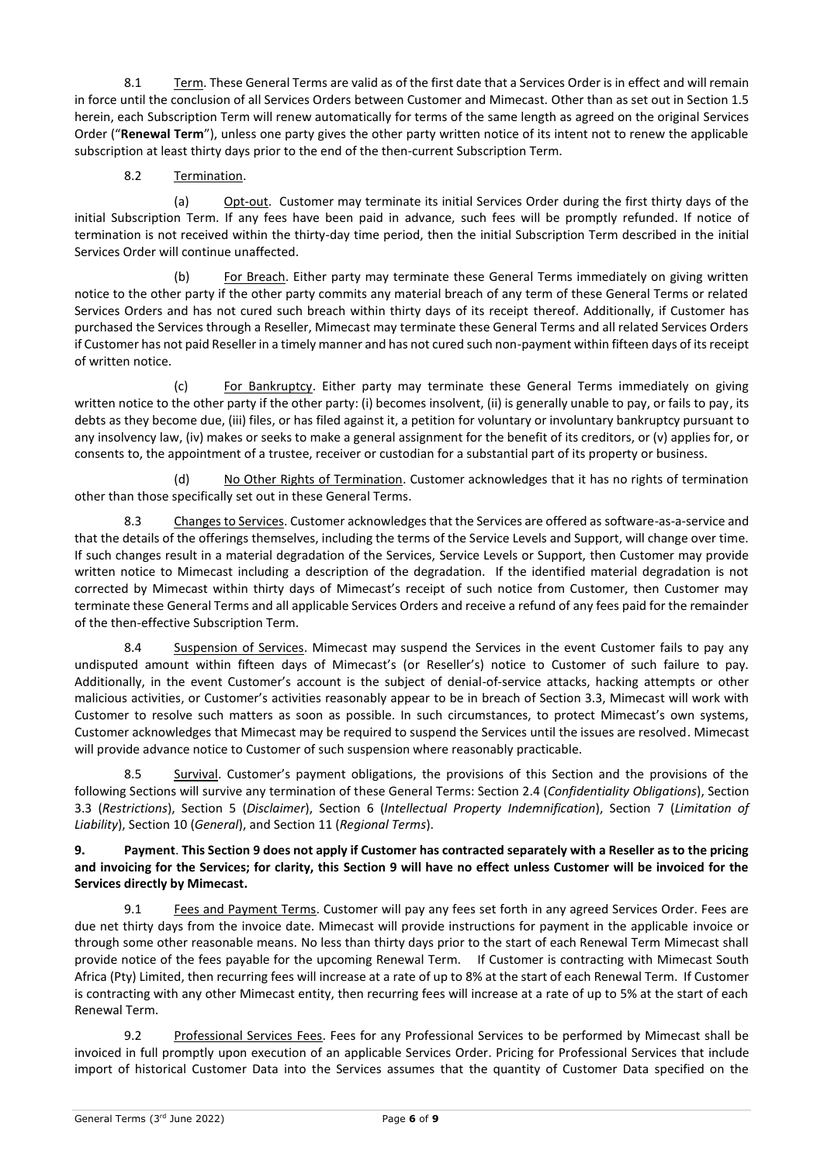8.1 Term. These General Terms are valid as of the first date that a Services Order is in effect and will remain in force until the conclusion of all Services Orders between Customer and Mimecast. Other than as set out in Section 1.5 herein, each Subscription Term will renew automatically for terms of the same length as agreed on the original Services Order ("**Renewal Term**"), unless one party gives the other party written notice of its intent not to renew the applicable subscription at least thirty days prior to the end of the then-current Subscription Term.

8.2 Termination.

(a) Opt-out. Customer may terminate its initial Services Order during the first thirty days of the initial Subscription Term. If any fees have been paid in advance, such fees will be promptly refunded. If notice of termination is not received within the thirty-day time period, then the initial Subscription Term described in the initial Services Order will continue unaffected.

(b) For Breach. Either party may terminate these General Terms immediately on giving written notice to the other party if the other party commits any material breach of any term of these General Terms or related Services Orders and has not cured such breach within thirty days of its receipt thereof. Additionally, if Customer has purchased the Services through a Reseller, Mimecast may terminate these General Terms and all related Services Orders if Customer has not paid Reseller in a timely manner and has not cured such non-payment within fifteen days of its receipt of written notice.

(c) For Bankruptcy. Either party may terminate these General Terms immediately on giving written notice to the other party if the other party: (i) becomes insolvent, (ii) is generally unable to pay, or fails to pay, its debts as they become due, (iii) files, or has filed against it, a petition for voluntary or involuntary bankruptcy pursuant to any insolvency law, (iv) makes or seeks to make a general assignment for the benefit of its creditors, or (v) applies for, or consents to, the appointment of a trustee, receiver or custodian for a substantial part of its property or business.

(d) No Other Rights of Termination. Customer acknowledges that it has no rights of termination other than those specifically set out in these General Terms.

8.3 Changes to Services. Customer acknowledges that the Services are offered as software-as-a-service and that the details of the offerings themselves, including the terms of the Service Levels and Support, will change over time. If such changes result in a material degradation of the Services, Service Levels or Support, then Customer may provide written notice to Mimecast including a description of the degradation. If the identified material degradation is not corrected by Mimecast within thirty days of Mimecast's receipt of such notice from Customer, then Customer may terminate these General Terms and all applicable Services Orders and receive a refund of any fees paid for the remainder of the then-effective Subscription Term.

8.4 Suspension of Services. Mimecast may suspend the Services in the event Customer fails to pay any undisputed amount within fifteen days of Mimecast's (or Reseller's) notice to Customer of such failure to pay. Additionally, in the event Customer's account is the subject of denial-of-service attacks, hacking attempts or other malicious activities, or Customer's activities reasonably appear to be in breach of Section 3.3, Mimecast will work with Customer to resolve such matters as soon as possible. In such circumstances, to protect Mimecast's own systems, Customer acknowledges that Mimecast may be required to suspend the Services until the issues are resolved. Mimecast will provide advance notice to Customer of such suspension where reasonably practicable.

8.5 Survival. Customer's payment obligations, the provisions of this Section and the provisions of the following Sections will survive any termination of these General Terms: Section 2.4 (*Confidentiality Obligations*), Section 3.3 (*Restrictions*), Section 5 (*Disclaimer*), Section 6 (*Intellectual Property Indemnification*), Section 7 (*Limitation of Liability*), Section 10 (*General*), and Section 11 (*Regional Terms*).

#### **9. Payment**. **This Section 9 does not apply if Customer has contracted separately with a Reseller as to the pricing and invoicing for the Services; for clarity, this Section 9 will have no effect unless Customer will be invoiced for the Services directly by Mimecast.**

9.1 Fees and Payment Terms. Customer will pay any fees set forth in any agreed Services Order. Fees are due net thirty days from the invoice date. Mimecast will provide instructions for payment in the applicable invoice or through some other reasonable means. No less than thirty days prior to the start of each Renewal Term Mimecast shall provide notice of the fees payable for the upcoming Renewal Term. If Customer is contracting with Mimecast South Africa (Pty) Limited, then recurring fees will increase at a rate of up to 8% at the start of each Renewal Term. If Customer is contracting with any other Mimecast entity, then recurring fees will increase at a rate of up to 5% at the start of each Renewal Term.

9.2 Professional Services Fees. Fees for any Professional Services to be performed by Mimecast shall be invoiced in full promptly upon execution of an applicable Services Order. Pricing for Professional Services that include import of historical Customer Data into the Services assumes that the quantity of Customer Data specified on the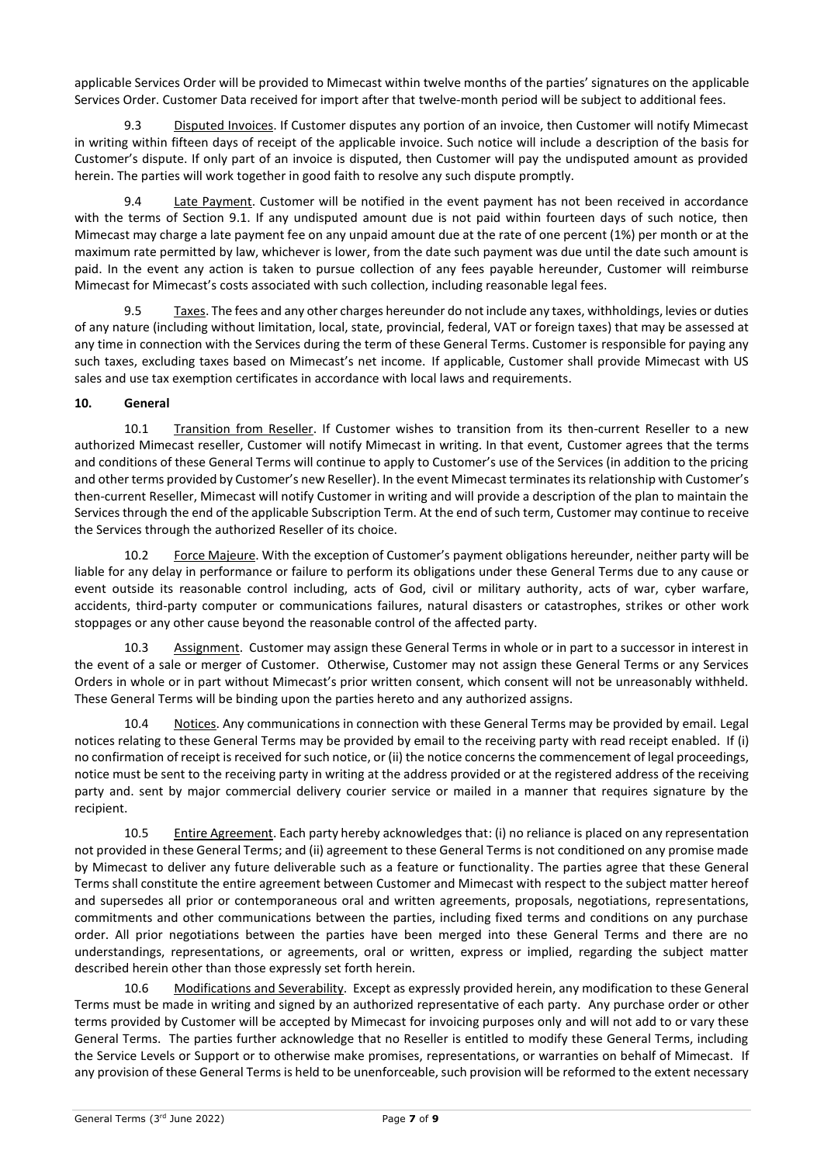applicable Services Order will be provided to Mimecast within twelve months of the parties' signatures on the applicable Services Order. Customer Data received for import after that twelve-month period will be subject to additional fees.

9.3 Disputed Invoices. If Customer disputes any portion of an invoice, then Customer will notify Mimecast in writing within fifteen days of receipt of the applicable invoice. Such notice will include a description of the basis for Customer's dispute. If only part of an invoice is disputed, then Customer will pay the undisputed amount as provided herein. The parties will work together in good faith to resolve any such dispute promptly.

9.4 Late Payment. Customer will be notified in the event payment has not been received in accordance with the terms of Section 9.1. If any undisputed amount due is not paid within fourteen days of such notice, then Mimecast may charge a late payment fee on any unpaid amount due at the rate of one percent (1%) per month or at the maximum rate permitted by law, whichever is lower, from the date such payment was due until the date such amount is paid. In the event any action is taken to pursue collection of any fees payable hereunder, Customer will reimburse Mimecast for Mimecast's costs associated with such collection, including reasonable legal fees.

9.5 Taxes. The fees and any other charges hereunder do not include any taxes, withholdings, levies or duties of any nature (including without limitation, local, state, provincial, federal, VAT or foreign taxes) that may be assessed at any time in connection with the Services during the term of these General Terms. Customer is responsible for paying any such taxes, excluding taxes based on Mimecast's net income. If applicable, Customer shall provide Mimecast with US sales and use tax exemption certificates in accordance with local laws and requirements.

## **10. General**

10.1 Transition from Reseller. If Customer wishes to transition from its then-current Reseller to a new authorized Mimecast reseller, Customer will notify Mimecast in writing. In that event, Customer agrees that the terms and conditions of these General Terms will continue to apply to Customer's use of the Services (in addition to the pricing and other terms provided by Customer's new Reseller). In the event Mimecast terminates its relationship with Customer's then-current Reseller, Mimecast will notify Customer in writing and will provide a description of the plan to maintain the Services through the end of the applicable Subscription Term. At the end of such term, Customer may continue to receive the Services through the authorized Reseller of its choice.

Force Majeure. With the exception of Customer's payment obligations hereunder, neither party will be liable for any delay in performance or failure to perform its obligations under these General Terms due to any cause or event outside its reasonable control including, acts of God, civil or military authority, acts of war, cyber warfare, accidents, third-party computer or communications failures, natural disasters or catastrophes, strikes or other work stoppages or any other cause beyond the reasonable control of the affected party.

10.3 Assignment. Customer may assign these General Terms in whole or in part to a successor in interest in the event of a sale or merger of Customer. Otherwise, Customer may not assign these General Terms or any Services Orders in whole or in part without Mimecast's prior written consent, which consent will not be unreasonably withheld. These General Terms will be binding upon the parties hereto and any authorized assigns.

10.4 Notices. Any communications in connection with these General Terms may be provided by email. Legal notices relating to these General Terms may be provided by email to the receiving party with read receipt enabled. If (i) no confirmation of receipt is received for such notice, or (ii) the notice concerns the commencement of legal proceedings, notice must be sent to the receiving party in writing at the address provided or at the registered address of the receiving party and. sent by major commercial delivery courier service or mailed in a manner that requires signature by the recipient.

10.5 Entire Agreement. Each party hereby acknowledges that: (i) no reliance is placed on any representation not provided in these General Terms; and (ii) agreement to these General Terms is not conditioned on any promise made by Mimecast to deliver any future deliverable such as a feature or functionality. The parties agree that these General Terms shall constitute the entire agreement between Customer and Mimecast with respect to the subject matter hereof and supersedes all prior or contemporaneous oral and written agreements, proposals, negotiations, representations, commitments and other communications between the parties, including fixed terms and conditions on any purchase order. All prior negotiations between the parties have been merged into these General Terms and there are no understandings, representations, or agreements, oral or written, express or implied, regarding the subject matter described herein other than those expressly set forth herein.

10.6 Modifications and Severability. Except as expressly provided herein, any modification to these General Terms must be made in writing and signed by an authorized representative of each party. Any purchase order or other terms provided by Customer will be accepted by Mimecast for invoicing purposes only and will not add to or vary these General Terms. The parties further acknowledge that no Reseller is entitled to modify these General Terms, including the Service Levels or Support or to otherwise make promises, representations, or warranties on behalf of Mimecast. If any provision of these General Terms is held to be unenforceable, such provision will be reformed to the extent necessary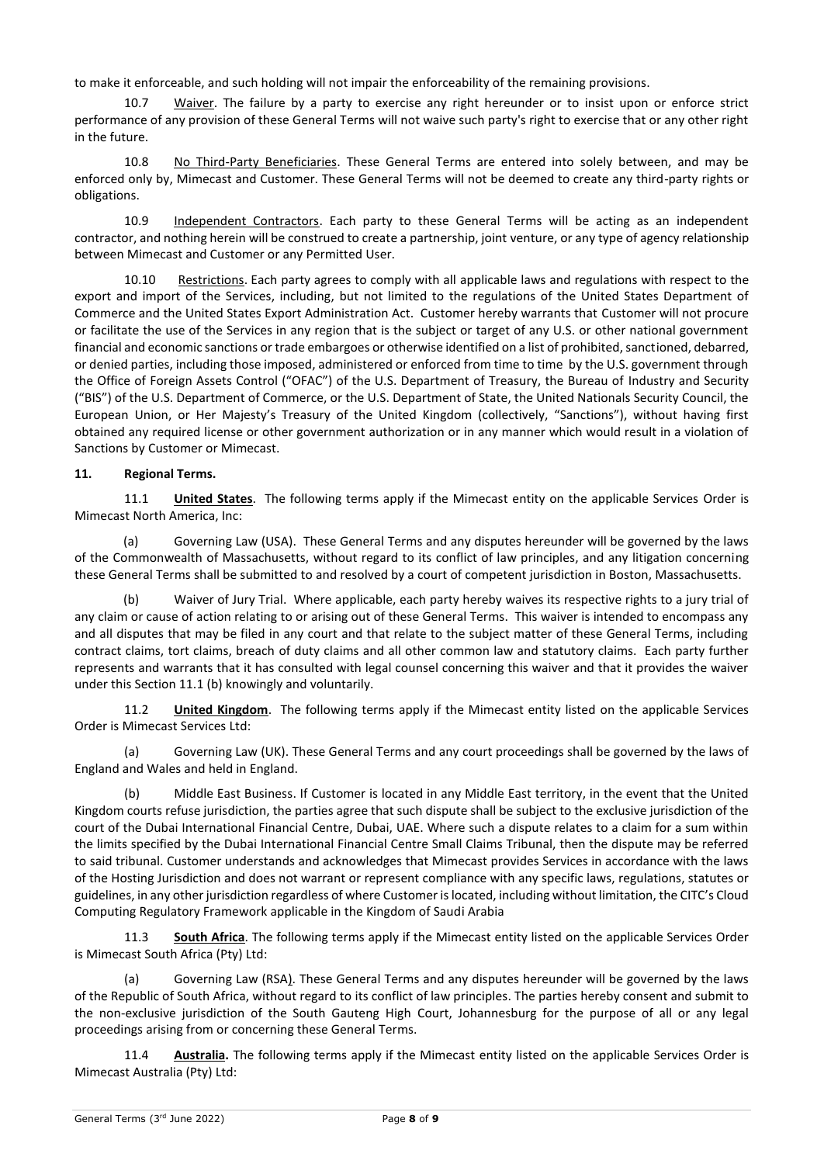to make it enforceable, and such holding will not impair the enforceability of the remaining provisions.

10.7 Waiver. The failure by a party to exercise any right hereunder or to insist upon or enforce strict performance of any provision of these General Terms will not waive such party's right to exercise that or any other right in the future.

10.8 No Third-Party Beneficiaries. These General Terms are entered into solely between, and may be enforced only by, Mimecast and Customer. These General Terms will not be deemed to create any third-party rights or obligations.

10.9 Independent Contractors. Each party to these General Terms will be acting as an independent contractor, and nothing herein will be construed to create a partnership, joint venture, or any type of agency relationship between Mimecast and Customer or any Permitted User.

10.10 Restrictions. Each party agrees to comply with all applicable laws and regulations with respect to the export and import of the Services, including, but not limited to the regulations of the United States Department of Commerce and the United States Export Administration Act. Customer hereby warrants that Customer will not procure or facilitate the use of the Services in any region that is the subject or target of any U.S. or other national government financial and economic sanctions or trade embargoes or otherwise identified on a list of prohibited, sanctioned, debarred, or denied parties, including those imposed, administered or enforced from time to time by the U.S. government through the Office of Foreign Assets Control ("OFAC") of the U.S. Department of Treasury, the Bureau of Industry and Security ("BIS") of the U.S. Department of Commerce, or the U.S. Department of State, the United Nationals Security Council, the European Union, or Her Majesty's Treasury of the United Kingdom (collectively, "Sanctions"), without having first obtained any required license or other government authorization or in any manner which would result in a violation of Sanctions by Customer or Mimecast.

#### **11. Regional Terms.**

11.1 **United States**. The following terms apply if the Mimecast entity on the applicable Services Order is Mimecast North America, Inc:

(a) Governing Law (USA). These General Terms and any disputes hereunder will be governed by the laws of the Commonwealth of Massachusetts, without regard to its conflict of law principles, and any litigation concerning these General Terms shall be submitted to and resolved by a court of competent jurisdiction in Boston, Massachusetts.

(b) Waiver of Jury Trial. Where applicable, each party hereby waives its respective rights to a jury trial of any claim or cause of action relating to or arising out of these General Terms. This waiver is intended to encompass any and all disputes that may be filed in any court and that relate to the subject matter of these General Terms, including contract claims, tort claims, breach of duty claims and all other common law and statutory claims. Each party further represents and warrants that it has consulted with legal counsel concerning this waiver and that it provides the waiver under this Section 11.1 (b) knowingly and voluntarily.

11.2 **United Kingdom**. The following terms apply if the Mimecast entity listed on the applicable Services Order is Mimecast Services Ltd:

(a) Governing Law (UK). These General Terms and any court proceedings shall be governed by the laws of England and Wales and held in England.

(b) Middle East Business. If Customer is located in any Middle East territory, in the event that the United Kingdom courts refuse jurisdiction, the parties agree that such dispute shall be subject to the exclusive jurisdiction of the court of the Dubai International Financial Centre, Dubai, UAE. Where such a dispute relates to a claim for a sum within the limits specified by the Dubai International Financial Centre Small Claims Tribunal, then the dispute may be referred to said tribunal. Customer understands and acknowledges that Mimecast provides Services in accordance with the laws of the Hosting Jurisdiction and does not warrant or represent compliance with any specific laws, regulations, statutes or guidelines, in any other jurisdiction regardless of where Customer is located, including without limitation, the CITC's Cloud Computing Regulatory Framework applicable in the Kingdom of Saudi Arabia

11.3 **South Africa**. The following terms apply if the Mimecast entity listed on the applicable Services Order is Mimecast South Africa (Pty) Ltd:

(a) Governing Law (RSA). These General Terms and any disputes hereunder will be governed by the laws of the Republic of South Africa, without regard to its conflict of law principles. The parties hereby consent and submit to the non-exclusive jurisdiction of the South Gauteng High Court, Johannesburg for the purpose of all or any legal proceedings arising from or concerning these General Terms.

11.4 **Australia.** The following terms apply if the Mimecast entity listed on the applicable Services Order is Mimecast Australia (Pty) Ltd: